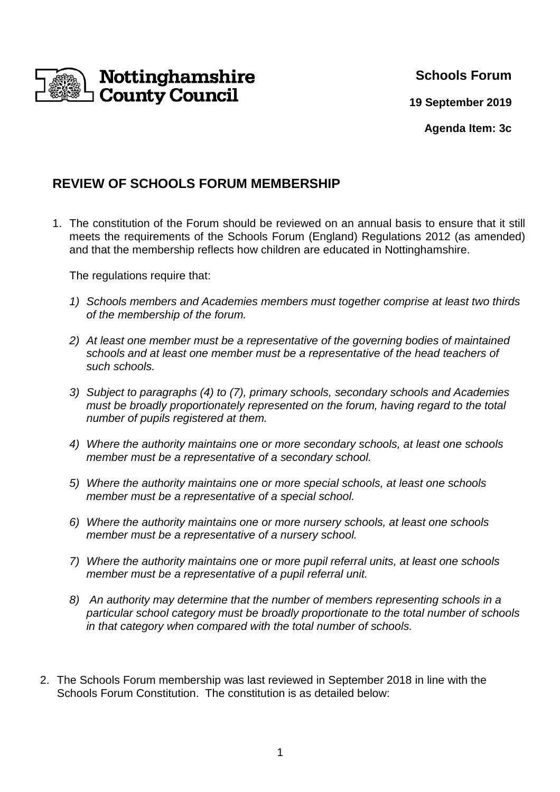

## **Schools Forum**

**19 September 2019**

**Agenda Item: 3c** 

# **REVIEW OF SCHOOLS FORUM MEMBERSHIP**

1. The constitution of the Forum should be reviewed on an annual basis to ensure that it still meets the requirements of the Schools Forum (England) Regulations 2012 (as amended) and that the membership reflects how children are educated in Nottinghamshire.

The regulations require that:

- 1) Schools members and Academies members must together comprise at least two thirds of the membership of the forum.
- 2) At least one member must be a representative of the governing bodies of maintained schools and at least one member must be a representative of the head teachers of such schools.
- 3) Subject to paragraphs (4) to (7), primary schools, secondary schools and Academies must be broadly proportionately represented on the forum, having regard to the total number of pupils registered at them.
- 4) Where the authority maintains one or more secondary schools, at least one schools member must be a representative of a secondary school.
- 5) Where the authority maintains one or more special schools, at least one schools member must be a representative of a special school.
- 6) Where the authority maintains one or more nursery schools, at least one schools member must be a representative of a nursery school.
- 7) Where the authority maintains one or more pupil referral units, at least one schools member must be a representative of a pupil referral unit.
- 8) An authority may determine that the number of members representing schools in a particular school category must be broadly proportionate to the total number of schools in that category when compared with the total number of schools.
- 2. The Schools Forum membership was last reviewed in September 2018 in line with the Schools Forum Constitution. The constitution is as detailed below: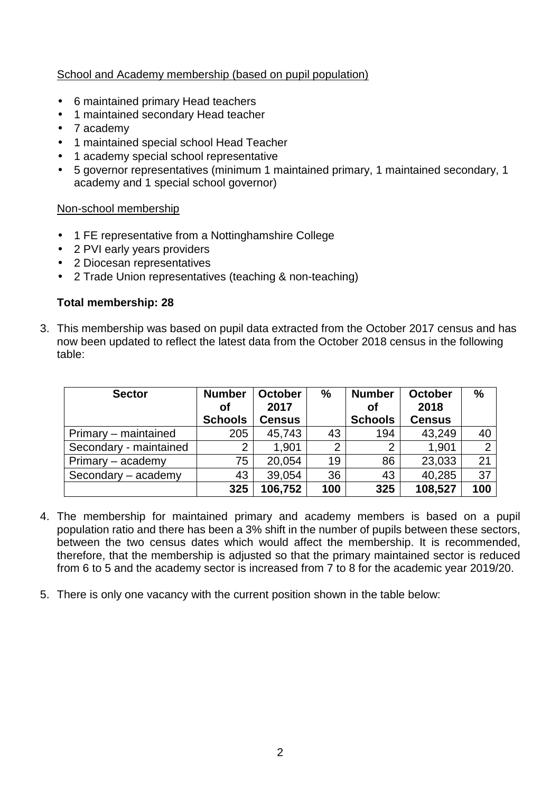### School and Academy membership (based on pupil population)

- 6 maintained primary Head teachers
- 1 maintained secondary Head teacher
- 7 academy
- 1 maintained special school Head Teacher
- 1 academy special school representative
- 5 governor representatives (minimum 1 maintained primary, 1 maintained secondary, 1 academy and 1 special school governor)

#### Non-school membership

- 1 FE representative from a Nottinghamshire College
- 2 PVI early years providers
- 2 Diocesan representatives
- 2 Trade Union representatives (teaching & non-teaching)

#### **Total membership: 28**

3. This membership was based on pupil data extracted from the October 2017 census and has now been updated to reflect the latest data from the October 2018 census in the following table:

| <b>Sector</b>          | <b>Number</b><br>Οf | <b>October</b><br>2017 | $\frac{0}{0}$  | <b>Number</b><br>Οf | <b>October</b><br>2018 | $\%$ |
|------------------------|---------------------|------------------------|----------------|---------------------|------------------------|------|
|                        | <b>Schools</b>      | <b>Census</b>          |                | <b>Schools</b>      | <b>Census</b>          |      |
| Primary – maintained   | 205                 | 45,743                 | 43             | 194                 | 43,249                 | 40   |
| Secondary - maintained | $\overline{2}$      | 1.901                  | $\overline{2}$ | $\overline{2}$      | 1,901                  | 2    |
| Primary – academy      | 75                  | 20,054                 | 19             | 86                  | 23,033                 | 21   |
| Secondary - academy    | 43                  | 39,054                 | 36             | 43                  | 40,285                 | 37   |
|                        | 325                 | 106,752                | 100            | 325                 | 108,527                | 100  |

- 4. The membership for maintained primary and academy members is based on a pupil population ratio and there has been a 3% shift in the number of pupils between these sectors, between the two census dates which would affect the membership. It is recommended, therefore, that the membership is adjusted so that the primary maintained sector is reduced from 6 to 5 and the academy sector is increased from 7 to 8 for the academic year 2019/20.
- 5. There is only one vacancy with the current position shown in the table below: